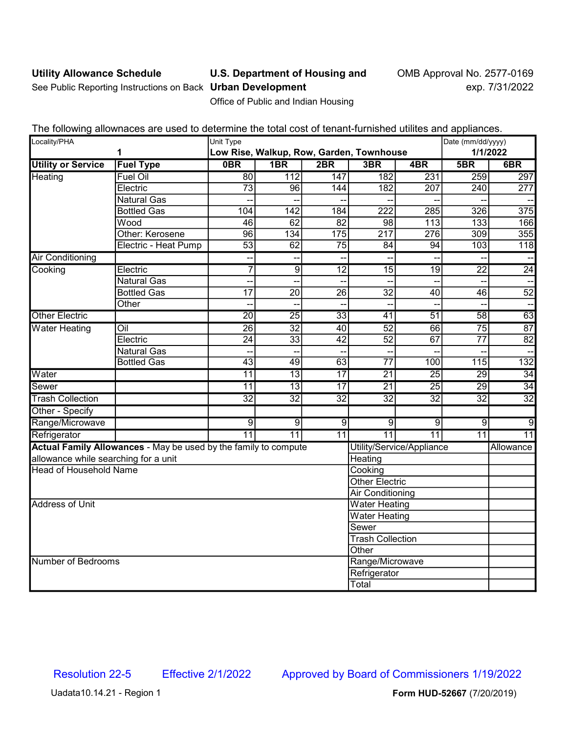## Utility Allowance Schedule **U.S. Department of Housing and** OMB Approval No. 2577-0169

See Public Reporting Instructions on Back Urban Development exp. 7/31/2022

Office of Public and Indian Housing

|  |  |  | The following allownaces are used to determine the total cost of tenant-furnished utilites and appliances. |
|--|--|--|------------------------------------------------------------------------------------------------------------|
|  |  |  |                                                                                                            |

| Locality/PHA                         |                                                                 | Unit Type                                |                  |                 |                       |                           |                 | Date (mm/dd/yyyy) |  |
|--------------------------------------|-----------------------------------------------------------------|------------------------------------------|------------------|-----------------|-----------------------|---------------------------|-----------------|-------------------|--|
| 1                                    |                                                                 | Low Rise, Walkup, Row, Garden, Townhouse |                  |                 |                       |                           | 1/1/2022        |                   |  |
| <b>Utility or Service</b>            | <b>Fuel Type</b>                                                | 0BR                                      | 1BR              | 2BR             | 3BR                   | 4BR                       | 5BR             | 6BR               |  |
| Heating                              | <b>Fuel Oil</b>                                                 | 80                                       | 112              | 147             | 182                   | 231                       | 259             | 297               |  |
|                                      | Electric                                                        | $\overline{73}$                          | 96               | 144             | $\overline{182}$      | 207                       | 240             | 277               |  |
|                                      | <b>Natural Gas</b>                                              |                                          |                  |                 |                       |                           |                 |                   |  |
|                                      | <b>Bottled Gas</b>                                              | 104                                      | $\overline{142}$ | 184             | $\overline{222}$      | $\overline{285}$          | 326             | 375               |  |
|                                      | Wood                                                            | 46                                       | 62               | $\overline{82}$ | 98                    | 113                       | 133             | 166               |  |
|                                      | Other: Kerosene                                                 | 96                                       | 134              | 175             | 217                   | 276                       | 309             | 355               |  |
|                                      | Electric - Heat Pump                                            | $\overline{53}$                          | 62               | $\overline{75}$ | 84                    | 94                        | 103             | 118               |  |
| <b>Air Conditioning</b>              |                                                                 | -−                                       | ۰.               | Н,              |                       |                           | н,              |                   |  |
| Cooking                              | Electric                                                        | $\overline{7}$                           | $\overline{9}$   | $\overline{12}$ | $\overline{15}$       | $\overline{19}$           | $\overline{22}$ | $\overline{24}$   |  |
|                                      | <b>Natural Gas</b>                                              |                                          |                  | --              |                       |                           | --              |                   |  |
|                                      | <b>Bottled Gas</b>                                              | 17                                       | 20               | $\overline{26}$ | 32                    | 40                        | 46              | $\overline{52}$   |  |
|                                      | Other                                                           | --                                       |                  |                 |                       |                           |                 |                   |  |
| <b>Other Electric</b>                |                                                                 | $\overline{20}$                          | $\overline{25}$  | $\overline{33}$ | $\overline{41}$       | $\overline{51}$           | $\overline{58}$ | 63                |  |
| <b>Water Heating</b>                 | $\overline{O}$ il                                               | $\overline{26}$                          | $\overline{32}$  | 40              | $\overline{52}$       | 66                        | $\overline{75}$ | 87                |  |
|                                      | Electric                                                        | $\overline{24}$                          | $\overline{33}$  | $\overline{42}$ | $\overline{52}$       | $\overline{67}$           | $\overline{77}$ | $\overline{82}$   |  |
|                                      | <b>Natural Gas</b>                                              | $-$                                      |                  |                 |                       |                           | --              |                   |  |
|                                      | <b>Bottled Gas</b>                                              | $\overline{43}$                          | 49               | 63              | $\overline{77}$       | 100                       | 115             | 132               |  |
| Water                                |                                                                 | $\overline{11}$                          | 13               | $\overline{17}$ | $\overline{21}$       | $\overline{25}$           | $\overline{29}$ | 34                |  |
| <b>Sewer</b>                         |                                                                 | $\overline{11}$                          | $\overline{13}$  | $\overline{17}$ | $\overline{21}$       | $\overline{25}$           | 29              | 34                |  |
| <b>Trash Collection</b>              |                                                                 | $\overline{32}$                          | $\overline{32}$  | $\overline{32}$ | $\overline{32}$       | $\overline{32}$           | $\overline{32}$ | $\overline{32}$   |  |
| Other - Specify                      |                                                                 |                                          |                  |                 |                       |                           |                 |                   |  |
| Range/Microwave                      |                                                                 | $\overline{9}$                           | $\overline{9}$   | $\overline{9}$  | $\overline{9}$        | $\overline{9}$            | $\overline{9}$  | g                 |  |
| Refrigerator                         |                                                                 | $\overline{11}$                          | $\overline{11}$  | 11              | $\overline{11}$       | $\overline{11}$           | 11              | $\overline{11}$   |  |
|                                      | Actual Family Allowances - May be used by the family to compute |                                          |                  |                 |                       | Utility/Service/Appliance |                 | Allowance         |  |
| allowance while searching for a unit |                                                                 |                                          |                  |                 | Heating               |                           |                 |                   |  |
| <b>Head of Household Name</b>        |                                                                 |                                          |                  | Cooking         |                       |                           |                 |                   |  |
|                                      |                                                                 |                                          |                  |                 | <b>Other Electric</b> |                           |                 |                   |  |
|                                      |                                                                 |                                          |                  |                 | Air Conditioning      |                           |                 |                   |  |
| <b>Address of Unit</b>               |                                                                 |                                          |                  |                 | <b>Water Heating</b>  |                           |                 |                   |  |
|                                      |                                                                 |                                          |                  |                 | <b>Water Heating</b>  |                           |                 |                   |  |
|                                      |                                                                 |                                          |                  |                 | Sewer                 |                           |                 |                   |  |
|                                      |                                                                 |                                          |                  |                 |                       | <b>Trash Collection</b>   |                 |                   |  |
|                                      |                                                                 |                                          |                  |                 |                       | Other                     |                 |                   |  |
| Number of Bedrooms                   |                                                                 |                                          |                  | Range/Microwave |                       |                           |                 |                   |  |
|                                      |                                                                 |                                          |                  |                 | Refrigerator          |                           |                 |                   |  |
| Total                                |                                                                 |                                          |                  |                 |                       |                           |                 |                   |  |

Uadata10.14.21 - Region 1 **Form HUD-52667** (7/20/2019)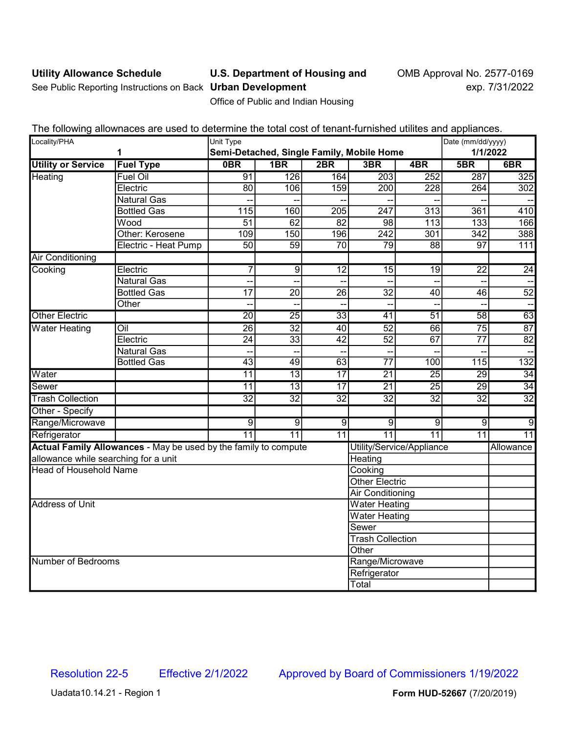# Utility Allowance Schedule **U.S. Department of Housing and** OMB Approval No. 2577-0169

See Public Reporting Instructions on Back Urban Development exp. 7/31/2022

Office of Public and Indian Housing

The following allownaces are used to determine the total cost of tenant-furnished utilites and appliances.

| Locality/PHA<br>1                             |                                                                 | Unit Type       |                 |                        |                                                  |                           | Date (mm/dd/yyyy)     |                 |  |
|-----------------------------------------------|-----------------------------------------------------------------|-----------------|-----------------|------------------------|--------------------------------------------------|---------------------------|-----------------------|-----------------|--|
| <b>Utility or Service</b><br><b>Fuel Type</b> |                                                                 | 0B              | 1B <sub>R</sub> | 2BR                    | Semi-Detached, Single Family, Mobile Home<br>3BR | 4BR                       | 1/1/2022<br>5B<br>6BR |                 |  |
| Heating                                       | <b>Fuel Oil</b>                                                 | 91              | 126             | 164                    | $\overline{203}$                                 | 252                       | $\overline{287}$      | 325             |  |
|                                               | Electric                                                        | 80              | 106             | 159                    | 200                                              | 228                       | 264                   | 302             |  |
|                                               | <b>Natural Gas</b>                                              |                 |                 |                        |                                                  |                           |                       |                 |  |
|                                               | <b>Bottled Gas</b>                                              | 115             | 160             | 205                    | 247                                              | $\overline{313}$          | 361                   | 410             |  |
|                                               | Wood                                                            | $\overline{51}$ | 62              | $\overline{82}$        | 98                                               | 113                       | $\overline{133}$      | 166             |  |
|                                               | Other: Kerosene                                                 | 109             | 150             |                        |                                                  | 301                       | 342                   |                 |  |
|                                               | Electric - Heat Pump                                            | $\overline{50}$ | $\overline{59}$ | 196<br>$\overline{70}$ | 242<br>$\overline{79}$                           | $\overline{88}$           | $\overline{97}$       | 388<br>111      |  |
|                                               |                                                                 |                 |                 |                        |                                                  |                           |                       |                 |  |
| <b>Air Conditioning</b>                       |                                                                 |                 |                 |                        |                                                  |                           |                       |                 |  |
| Cooking                                       | Electric                                                        | 7               | $\overline{9}$  | $\overline{12}$        | $\overline{15}$                                  | $\overline{19}$           | $\overline{22}$       | 24              |  |
|                                               | <b>Natural Gas</b>                                              | $\overline{a}$  |                 |                        |                                                  |                           | $\overline{a}$        |                 |  |
|                                               | <b>Bottled Gas</b>                                              | $\overline{17}$ | 20              | $\overline{26}$        | $\overline{32}$                                  | 40                        | 46                    | $\overline{52}$ |  |
|                                               | Other                                                           | --              |                 |                        |                                                  |                           |                       |                 |  |
| <b>Other Electric</b>                         |                                                                 | $\overline{20}$ | $\overline{25}$ | $\overline{33}$        | 41                                               | $\overline{51}$           | 58                    | 63              |  |
| <b>Water Heating</b>                          | $\overline{O}$ il                                               | $\overline{26}$ | $\overline{32}$ | 40                     | $\overline{52}$                                  | 66                        | $\overline{75}$       | 87              |  |
|                                               | Electric                                                        | $\overline{24}$ | $\overline{33}$ | $\overline{42}$        | $\overline{52}$                                  | $\overline{67}$           | $\overline{77}$       | $\overline{82}$ |  |
|                                               | <b>Natural Gas</b>                                              |                 |                 |                        |                                                  |                           |                       |                 |  |
|                                               | <b>Bottled Gas</b>                                              | $\overline{43}$ | 49              | 63                     | $\overline{77}$                                  | 100                       | 115                   | 132             |  |
| Water                                         |                                                                 | 11              | $\overline{13}$ | 17                     | $\overline{21}$                                  | $\overline{25}$           | 29                    | 34              |  |
| <b>Sewer</b>                                  |                                                                 | 11              | $\overline{13}$ | $\overline{17}$        | $\overline{21}$                                  | $\overline{25}$           | $\overline{29}$       | 34              |  |
| <b>Trash Collection</b>                       |                                                                 | $\overline{32}$ | $\overline{32}$ | $\overline{32}$        | $\overline{32}$                                  | $\overline{32}$           | $\overline{32}$       | $\overline{32}$ |  |
| Other - Specify                               |                                                                 |                 |                 |                        |                                                  |                           |                       |                 |  |
| Range/Microwave                               |                                                                 | $\overline{9}$  | $\overline{9}$  | $\overline{9}$         | $\overline{9}$                                   | $\overline{9}$            | $\overline{9}$        | $\overline{9}$  |  |
| Refrigerator                                  |                                                                 | $\overline{11}$ | $\overline{11}$ | 11                     | $\overline{11}$                                  | $\overline{11}$           | $\overline{11}$       | $\overline{11}$ |  |
|                                               | Actual Family Allowances - May be used by the family to compute |                 |                 |                        |                                                  | Utility/Service/Appliance |                       | Allowance       |  |
| allowance while searching for a unit          |                                                                 |                 |                 |                        | Heating                                          |                           |                       |                 |  |
| <b>Head of Household Name</b>                 |                                                                 |                 |                 | Cooking                |                                                  |                           |                       |                 |  |
|                                               |                                                                 |                 |                 |                        | <b>Other Electric</b>                            |                           |                       |                 |  |
|                                               |                                                                 |                 |                 |                        | Air Conditioning                                 |                           |                       |                 |  |
| <b>Address of Unit</b>                        |                                                                 |                 |                 |                        | <b>Water Heating</b>                             |                           |                       |                 |  |
|                                               |                                                                 |                 |                 |                        | <b>Water Heating</b>                             |                           |                       |                 |  |
|                                               |                                                                 |                 |                 |                        | Sewer                                            |                           |                       |                 |  |
|                                               |                                                                 |                 |                 |                        |                                                  | <b>Trash Collection</b>   |                       |                 |  |
| Other                                         |                                                                 |                 |                 |                        |                                                  |                           |                       |                 |  |
| Number of Bedrooms                            |                                                                 |                 |                 | Range/Microwave        |                                                  |                           |                       |                 |  |
|                                               |                                                                 |                 |                 |                        | Refrigerator                                     |                           |                       |                 |  |
|                                               |                                                                 |                 |                 |                        | Total                                            |                           |                       |                 |  |

Uadata10.14.21 - Region 1 **Form HUD-52667** (7/20/2019)